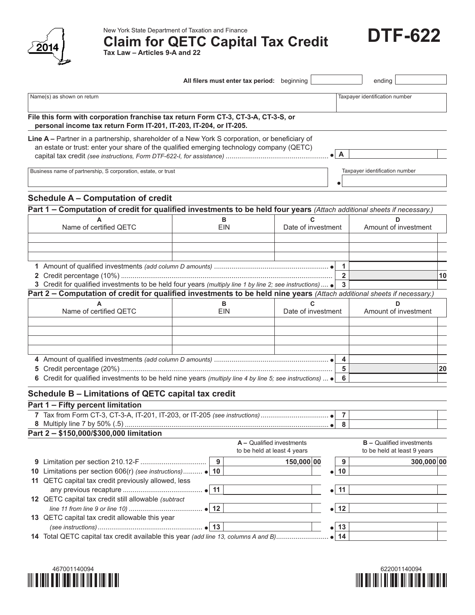

New York State Department of Taxation and Finance<br>Claim for QETC Capital Tax Credit **DTF-622 Tax Law – Articles 9-A and 22**

|                                                                                                                                                                                                                                   |              | All filers must enter tax period: beginning              |                           | ending                                                          |            |
|-----------------------------------------------------------------------------------------------------------------------------------------------------------------------------------------------------------------------------------|--------------|----------------------------------------------------------|---------------------------|-----------------------------------------------------------------|------------|
| Name(s) as shown on return                                                                                                                                                                                                        |              |                                                          |                           | Taxpayer identification number                                  |            |
| File this form with corporation franchise tax return Form CT-3, CT-3-A, CT-3-S, or                                                                                                                                                |              |                                                          |                           |                                                                 |            |
| personal income tax return Form IT-201, IT-203, IT-204, or IT-205.                                                                                                                                                                |              |                                                          |                           |                                                                 |            |
| Line A - Partner in a partnership, shareholder of a New York S corporation, or beneficiary of                                                                                                                                     |              |                                                          |                           |                                                                 |            |
| an estate or trust: enter your share of the qualified emerging technology company (QETC)                                                                                                                                          |              |                                                          |                           |                                                                 |            |
|                                                                                                                                                                                                                                   |              |                                                          | $\mathsf{A}$<br>$\bullet$ |                                                                 |            |
| Business name of partnership, S corporation, estate, or trust                                                                                                                                                                     |              |                                                          |                           | Taxpayer identification number                                  |            |
|                                                                                                                                                                                                                                   |              |                                                          |                           |                                                                 |            |
| <b>Schedule A – Computation of credit</b>                                                                                                                                                                                         |              |                                                          |                           |                                                                 |            |
| Part 1 - Computation of credit for qualified investments to be held four years (Attach additional sheets if necessary.)                                                                                                           |              |                                                          |                           |                                                                 |            |
|                                                                                                                                                                                                                                   | в            | C                                                        |                           | D                                                               |            |
| Name of certified QETC                                                                                                                                                                                                            | <b>EIN</b>   | Date of investment                                       |                           | Amount of investment                                            |            |
|                                                                                                                                                                                                                                   |              |                                                          |                           |                                                                 |            |
|                                                                                                                                                                                                                                   |              |                                                          |                           |                                                                 |            |
|                                                                                                                                                                                                                                   |              |                                                          |                           |                                                                 |            |
|                                                                                                                                                                                                                                   |              |                                                          | 1                         |                                                                 |            |
|                                                                                                                                                                                                                                   |              |                                                          | $\overline{\mathbf{2}}$   |                                                                 | 10         |
| 3 Credit for qualified investments to be held four years (multiply line 1 by line 2; see instructions)<br>Part 2 - Computation of credit for qualified investments to be held nine years (Attach additional sheets if necessary.) |              |                                                          | 3                         |                                                                 |            |
|                                                                                                                                                                                                                                   | в            | C                                                        |                           | D                                                               |            |
| Name of certified QETC                                                                                                                                                                                                            | <b>EIN</b>   | Date of investment                                       |                           | Amount of investment                                            |            |
|                                                                                                                                                                                                                                   |              |                                                          |                           |                                                                 |            |
|                                                                                                                                                                                                                                   |              |                                                          |                           |                                                                 |            |
|                                                                                                                                                                                                                                   |              |                                                          |                           |                                                                 |            |
|                                                                                                                                                                                                                                   |              |                                                          |                           |                                                                 |            |
|                                                                                                                                                                                                                                   |              |                                                          | 4                         |                                                                 |            |
|                                                                                                                                                                                                                                   |              |                                                          | 5                         |                                                                 | 20         |
| 6 Credit for qualified investments to be held nine years (multiply line 4 by line 5; see instructions) $\bullet$                                                                                                                  |              |                                                          | 6                         |                                                                 |            |
| Schedule B - Limitations of QETC capital tax credit                                                                                                                                                                               |              |                                                          |                           |                                                                 |            |
| Part 1 - Fifty percent limitation                                                                                                                                                                                                 |              |                                                          |                           |                                                                 |            |
|                                                                                                                                                                                                                                   |              |                                                          | 7                         |                                                                 |            |
|                                                                                                                                                                                                                                   |              |                                                          | 8                         |                                                                 |            |
| Part 2 - \$150,000/\$300,000 limitation                                                                                                                                                                                           |              |                                                          |                           |                                                                 |            |
|                                                                                                                                                                                                                                   |              | A - Qualified investments<br>to be held at least 4 years |                           | <b>B</b> - Qualified investments<br>to be held at least 9 years |            |
|                                                                                                                                                                                                                                   | 9            | 150,000 00                                               | 9                         |                                                                 | 300,000 00 |
| 10 Limitations per section 606(r) (see instructions) • 10                                                                                                                                                                         |              |                                                          | 10<br>$\bullet\vert$      |                                                                 |            |
| 11 QETC capital tax credit previously allowed, less                                                                                                                                                                               |              |                                                          |                           |                                                                 |            |
|                                                                                                                                                                                                                                   | $\bullet$ 11 |                                                          | $\bullet$ 11              |                                                                 |            |
| 12 QETC capital tax credit still allowable (subtract                                                                                                                                                                              |              |                                                          |                           |                                                                 |            |
|                                                                                                                                                                                                                                   | $\bullet$ 12 |                                                          | $\bullet$ 12              |                                                                 |            |
| 13 QETC capital tax credit allowable this year                                                                                                                                                                                    |              |                                                          |                           |                                                                 |            |
| 14 Total QETC capital tax credit available this year (add line 13, columns A and B)                                                                                                                                               | $\bullet$ 13 |                                                          | 13<br>$\bullet$<br>14     |                                                                 |            |
|                                                                                                                                                                                                                                   |              |                                                          |                           |                                                                 |            |
|                                                                                                                                                                                                                                   |              |                                                          |                           |                                                                 |            |